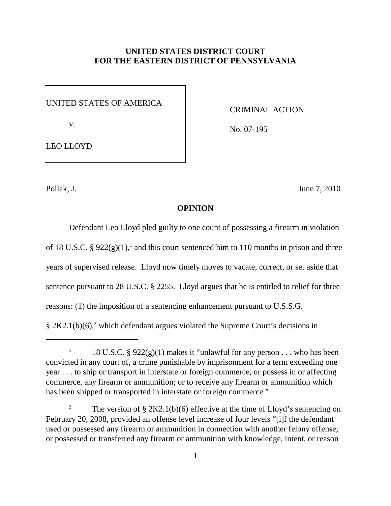## **UNITED STATES DISTRICT COURT FOR THE EASTERN DISTRICT OF PENNSYLVANIA**

UNITED STATES OF AMERICA

v.

LEO LLOYD

CRIMINAL ACTION

No. 07-195

Pollak, J. June 7, 2010

## **OPINION**

Defendant Leo Lloyd pled guilty to one count of possessing a firearm in violation of 18 U.S.C. §  $922(g)(1)$ ,<sup>1</sup> and this court sentenced him to 110 months in prison and three years of supervised release. Lloyd now timely moves to vacate, correct, or set aside that sentence pursuant to 28 U.S.C. § 2255. Lloyd argues that he is entitled to relief for three reasons: (1) the imposition of a sentencing enhancement pursuant to U.S.S.G.  $\S 2K2.1(b)(6)$ ,<sup>2</sup> which defendant argues violated the Supreme Court's decisions in

<sup>&</sup>lt;sup>1</sup> 18 U.S.C. § 922(g)(1) makes it "unlawful for any person . . . who has been convicted in any court of, a crime punishable by imprisonment for a term exceeding one year . . . to ship or transport in interstate or foreign commerce, or possess in or affecting commerce, any firearm or ammunition; or to receive any firearm or ammunition which has been shipped or transported in interstate or foreign commerce."

<sup>&</sup>lt;sup>2</sup> The version of  $\S 2K2.1(b)(6)$  effective at the time of Lloyd's sentencing on February 20, 2008, provided an offense level increase of four levels "[i]f the defendant used or possessed any firearm or ammunition in connection with another felony offense; or possessed or transferred any firearm or ammunition with knowledge, intent, or reason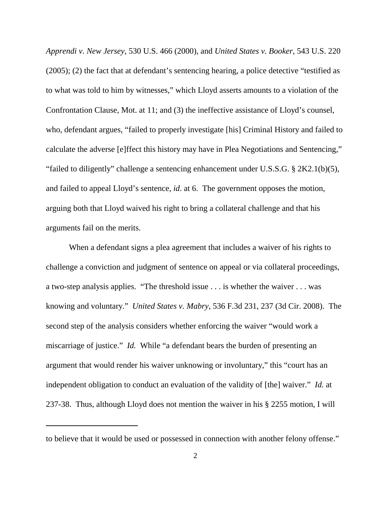*Apprendi v. New Jersey*, 530 U.S. 466 (2000), and *United States v. Booker*, 543 U.S. 220 (2005); (2) the fact that at defendant's sentencing hearing, a police detective "testified as to what was told to him by witnesses," which Lloyd asserts amounts to a violation of the Confrontation Clause, Mot. at 11; and (3) the ineffective assistance of Lloyd's counsel, who, defendant argues, "failed to properly investigate [his] Criminal History and failed to calculate the adverse [e]ffect this history may have in Plea Negotiations and Sentencing," "failed to diligently" challenge a sentencing enhancement under U.S.S.G. § 2K2.1(b)(5), and failed to appeal Lloyd's sentence, *id*. at 6. The government opposes the motion, arguing both that Lloyd waived his right to bring a collateral challenge and that his arguments fail on the merits.

When a defendant signs a plea agreement that includes a waiver of his rights to challenge a conviction and judgment of sentence on appeal or via collateral proceedings, a two-step analysis applies. "The threshold issue . . . is whether the waiver . . . was knowing and voluntary." *United States v. Mabry*, 536 F.3d 231, 237 (3d Cir. 2008). The second step of the analysis considers whether enforcing the waiver "would work a miscarriage of justice." *Id.* While "a defendant bears the burden of presenting an argument that would render his waiver unknowing or involuntary," this "court has an independent obligation to conduct an evaluation of the validity of [the] waiver." *Id.* at 237-38. Thus, although Lloyd does not mention the waiver in his § 2255 motion, I will

to believe that it would be used or possessed in connection with another felony offense."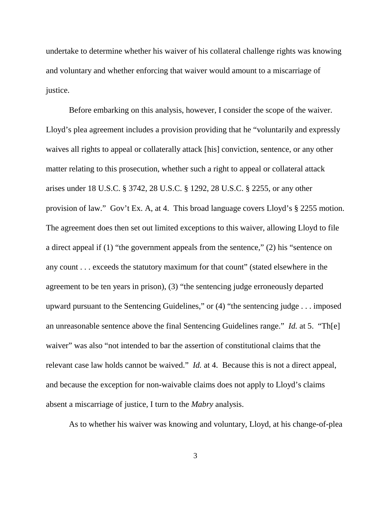undertake to determine whether his waiver of his collateral challenge rights was knowing and voluntary and whether enforcing that waiver would amount to a miscarriage of justice.

Before embarking on this analysis, however, I consider the scope of the waiver. Lloyd's plea agreement includes a provision providing that he "voluntarily and expressly waives all rights to appeal or collaterally attack [his] conviction, sentence, or any other matter relating to this prosecution, whether such a right to appeal or collateral attack arises under 18 U.S.C. § 3742, 28 U.S.C. § 1292, 28 U.S.C. § 2255, or any other provision of law." Gov't Ex. A, at 4. This broad language covers Lloyd's § 2255 motion. The agreement does then set out limited exceptions to this waiver, allowing Lloyd to file a direct appeal if (1) "the government appeals from the sentence," (2) his "sentence on any count . . . exceeds the statutory maximum for that count" (stated elsewhere in the agreement to be ten years in prison), (3) "the sentencing judge erroneously departed upward pursuant to the Sentencing Guidelines," or (4) "the sentencing judge . . . imposed an unreasonable sentence above the final Sentencing Guidelines range." *Id.* at 5. "Th[e] waiver" was also "not intended to bar the assertion of constitutional claims that the relevant case law holds cannot be waived." *Id.* at 4. Because this is not a direct appeal, and because the exception for non-waivable claims does not apply to Lloyd's claims absent a miscarriage of justice, I turn to the *Mabry* analysis.

As to whether his waiver was knowing and voluntary, Lloyd, at his change-of-plea

3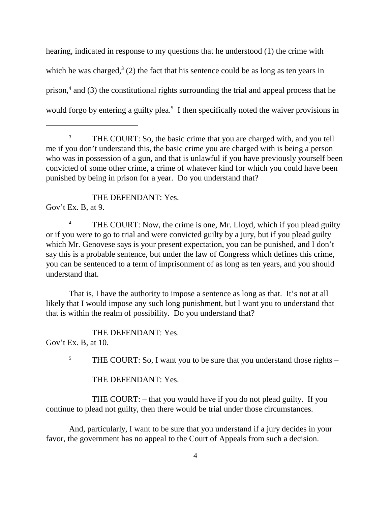hearing, indicated in response to my questions that he understood (1) the crime with which he was charged, $3(2)$  the fact that his sentence could be as long as ten years in prison, <sup>4</sup> and (3) the constitutional rights surrounding the trial and appeal process that he would forgo by entering a guilty plea.<sup>5</sup> I then specifically noted the waiver provisions in

THE DEFENDANT: Yes. Gov't Ex. B, at 9.

<sup>4</sup> THE COURT: Now, the crime is one, Mr. Lloyd, which if you plead guilty or if you were to go to trial and were convicted guilty by a jury, but if you plead guilty which Mr. Genovese says is your present expectation, you can be punished, and I don't say this is a probable sentence, but under the law of Congress which defines this crime, you can be sentenced to a term of imprisonment of as long as ten years, and you should understand that.

That is, I have the authority to impose a sentence as long as that. It's not at all likely that I would impose any such long punishment, but I want you to understand that that is within the realm of possibility. Do you understand that?

THE DEFENDANT: Yes. Gov't Ex. B, at 10.

<sup>5</sup> THE COURT: So, I want you to be sure that you understand those rights –

THE DEFENDANT: Yes.

THE COURT: – that you would have if you do not plead guilty. If you continue to plead not guilty, then there would be trial under those circumstances.

And, particularly, I want to be sure that you understand if a jury decides in your favor, the government has no appeal to the Court of Appeals from such a decision.

<sup>&</sup>lt;sup>3</sup> THE COURT: So, the basic crime that you are charged with, and you tell me if you don't understand this, the basic crime you are charged with is being a person who was in possession of a gun, and that is unlawful if you have previously yourself been convicted of some other crime, a crime of whatever kind for which you could have been punished by being in prison for a year. Do you understand that?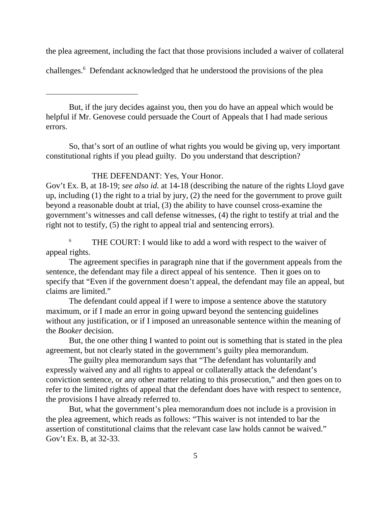the plea agreement, including the fact that those provisions included a waiver of collateral

challenges. <sup>6</sup> Defendant acknowledged that he understood the provisions of the plea

But, if the jury decides against you, then you do have an appeal which would be helpful if Mr. Genovese could persuade the Court of Appeals that I had made serious errors.

So, that's sort of an outline of what rights you would be giving up, very important constitutional rights if you plead guilty. Do you understand that description?

THE DEFENDANT: Yes, Your Honor.

Gov't Ex. B, at 18-19; *see also id.* at 14-18 (describing the nature of the rights Lloyd gave up, including (1) the right to a trial by jury, (2) the need for the government to prove guilt beyond a reasonable doubt at trial, (3) the ability to have counsel cross-examine the government's witnesses and call defense witnesses, (4) the right to testify at trial and the right not to testify, (5) the right to appeal trial and sentencing errors).

<sup>6</sup> THE COURT: I would like to add a word with respect to the waiver of appeal rights.

The agreement specifies in paragraph nine that if the government appeals from the sentence, the defendant may file a direct appeal of his sentence. Then it goes on to specify that "Even if the government doesn't appeal, the defendant may file an appeal, but claims are limited."

The defendant could appeal if I were to impose a sentence above the statutory maximum, or if I made an error in going upward beyond the sentencing guidelines without any justification, or if I imposed an unreasonable sentence within the meaning of the *Booker* decision.

But, the one other thing I wanted to point out is something that is stated in the plea agreement, but not clearly stated in the government's guilty plea memorandum.

The guilty plea memorandum says that "The defendant has voluntarily and expressly waived any and all rights to appeal or collaterally attack the defendant's conviction sentence, or any other matter relating to this prosecution," and then goes on to refer to the limited rights of appeal that the defendant does have with respect to sentence, the provisions I have already referred to.

But, what the government's plea memorandum does not include is a provision in the plea agreement, which reads as follows: "This waiver is not intended to bar the assertion of constitutional claims that the relevant case law holds cannot be waived." Gov't Ex. B, at 32-33.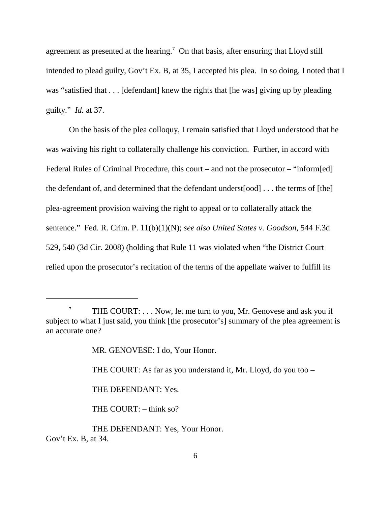agreement as presented at the hearing.<sup>7</sup> On that basis, after ensuring that Lloyd still intended to plead guilty, Gov't Ex. B, at 35, I accepted his plea. In so doing, I noted that I was "satisfied that . . . [defendant] knew the rights that [he was] giving up by pleading guilty." *Id.* at 37.

On the basis of the plea colloquy, I remain satisfied that Lloyd understood that he was waiving his right to collaterally challenge his conviction. Further, in accord with Federal Rules of Criminal Procedure, this court – and not the prosecutor – "inform[ed] the defendant of, and determined that the defendant underst[ood] . . . the terms of [the] plea-agreement provision waiving the right to appeal or to collaterally attack the sentence." Fed. R. Crim. P. 11(b)(1)(N); *see also United States v. Goodson*, 544 F.3d 529, 540 (3d Cir. 2008) (holding that Rule 11 was violated when "the District Court relied upon the prosecutor's recitation of the terms of the appellate waiver to fulfill its

THE COURT: As far as you understand it, Mr. Lloyd, do you too –

THE DEFENDANT: Yes.

THE COURT: – think so?

THE DEFENDANT: Yes, Your Honor. Gov't Ex. B, at 34.

THE COURT: . . . Now, let me turn to you, Mr. Genovese and ask you if subject to what I just said, you think [the prosecutor's] summary of the plea agreement is an accurate one?

MR. GENOVESE: I do, Your Honor.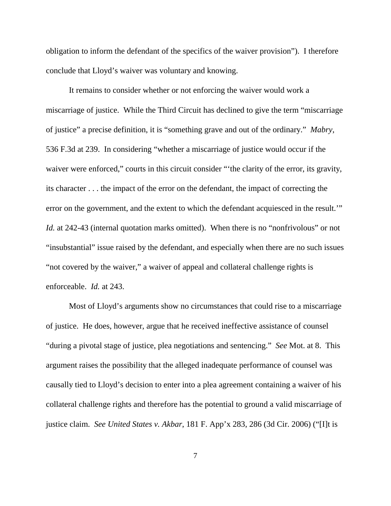obligation to inform the defendant of the specifics of the waiver provision"). I therefore conclude that Lloyd's waiver was voluntary and knowing.

It remains to consider whether or not enforcing the waiver would work a miscarriage of justice. While the Third Circuit has declined to give the term "miscarriage of justice" a precise definition, it is "something grave and out of the ordinary." *Mabry*, 536 F.3d at 239. In considering "whether a miscarriage of justice would occur if the waiver were enforced," courts in this circuit consider "the clarity of the error, its gravity, its character . . . the impact of the error on the defendant, the impact of correcting the error on the government, and the extent to which the defendant acquiesced in the result.'" *Id.* at 242-43 (internal quotation marks omitted). When there is no "nonfrivolous" or not "insubstantial" issue raised by the defendant, and especially when there are no such issues "not covered by the waiver," a waiver of appeal and collateral challenge rights is enforceable. *Id.* at 243.

Most of Lloyd's arguments show no circumstances that could rise to a miscarriage of justice. He does, however, argue that he received ineffective assistance of counsel "during a pivotal stage of justice, plea negotiations and sentencing." *See* Mot. at 8. This argument raises the possibility that the alleged inadequate performance of counsel was causally tied to Lloyd's decision to enter into a plea agreement containing a waiver of his collateral challenge rights and therefore has the potential to ground a valid miscarriage of justice claim. *See United States v. Akbar*, 181 F. App'x 283, 286 (3d Cir. 2006) ("[I]t is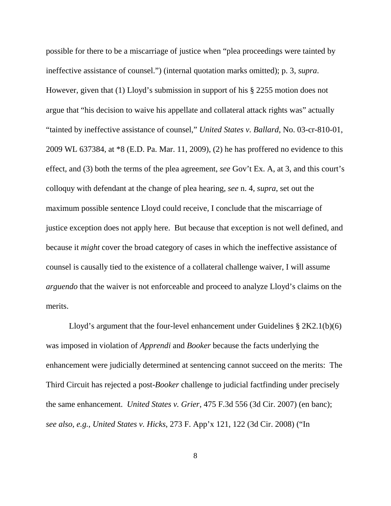possible for there to be a miscarriage of justice when "plea proceedings were tainted by ineffective assistance of counsel.") (internal quotation marks omitted); p. 3, *supra*. However, given that (1) Lloyd's submission in support of his § 2255 motion does not argue that "his decision to waive his appellate and collateral attack rights was" actually "tainted by ineffective assistance of counsel," *United States v. Ballard*, No. 03-cr-810-01, 2009 WL 637384, at \*8 (E.D. Pa. Mar. 11, 2009), (2) he has proffered no evidence to this effect, and (3) both the terms of the plea agreement, *see* Gov't Ex. A, at 3, and this court's colloquy with defendant at the change of plea hearing, *see* n. 4, *supra*, set out the maximum possible sentence Lloyd could receive, I conclude that the miscarriage of justice exception does not apply here. But because that exception is not well defined, and because it *might* cover the broad category of cases in which the ineffective assistance of counsel is causally tied to the existence of a collateral challenge waiver, I will assume *arguendo* that the waiver is not enforceable and proceed to analyze Lloyd's claims on the merits.

Lloyd's argument that the four-level enhancement under Guidelines § 2K2.1(b)(6) was imposed in violation of *Apprendi* and *Booker* because the facts underlying the enhancement were judicially determined at sentencing cannot succeed on the merits: The Third Circuit has rejected a post*-Booker* challenge to judicial factfinding under precisely the same enhancement. *United States v. Grier*, 475 F.3d 556 (3d Cir. 2007) (en banc); *see also, e.g.*, *United States v. Hicks*, 273 F. App'x 121, 122 (3d Cir. 2008) ("In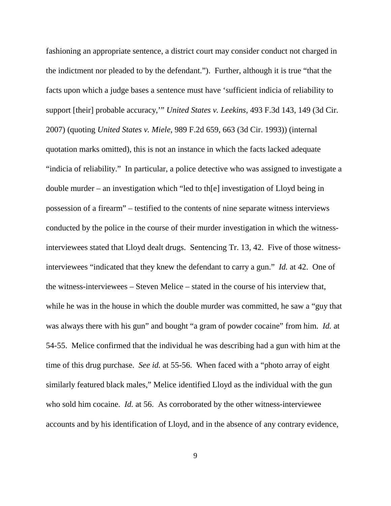fashioning an appropriate sentence, a district court may consider conduct not charged in the indictment nor pleaded to by the defendant."). Further, although it is true "that the facts upon which a judge bases a sentence must have 'sufficient indicia of reliability to support [their] probable accuracy,'" *United States v. Leekins*, 493 F.3d 143, 149 (3d Cir. 2007) (quoting *United States v. Miele*, 989 F.2d 659, 663 (3d Cir. 1993)) (internal quotation marks omitted), this is not an instance in which the facts lacked adequate "indicia of reliability." In particular, a police detective who was assigned to investigate a double murder – an investigation which "led to th[e] investigation of Lloyd being in possession of a firearm" – testified to the contents of nine separate witness interviews conducted by the police in the course of their murder investigation in which the witnessinterviewees stated that Lloyd dealt drugs. Sentencing Tr. 13, 42. Five of those witnessinterviewees "indicated that they knew the defendant to carry a gun." *Id.* at 42. One of the witness-interviewees – Steven Melice – stated in the course of his interview that, while he was in the house in which the double murder was committed, he saw a "guy that was always there with his gun" and bought "a gram of powder cocaine" from him. *Id.* at 54-55. Melice confirmed that the individual he was describing had a gun with him at the time of this drug purchase. *See id.* at 55-56. When faced with a "photo array of eight similarly featured black males," Melice identified Lloyd as the individual with the gun who sold him cocaine. *Id.* at 56. As corroborated by the other witness-interviewee accounts and by his identification of Lloyd, and in the absence of any contrary evidence,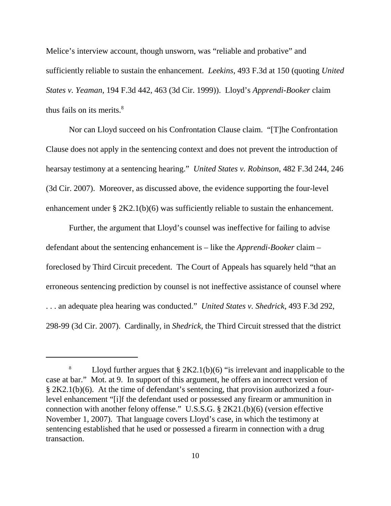Melice's interview account, though unsworn, was "reliable and probative" and sufficiently reliable to sustain the enhancement. *Leekins*, 493 F.3d at 150 (quoting *United States v. Yeaman*, 194 F.3d 442, 463 (3d Cir. 1999)). Lloyd's *Apprendi*-*Booker* claim thus fails on its merits. 8

Nor can Lloyd succeed on his Confrontation Clause claim. "[T]he Confrontation Clause does not apply in the sentencing context and does not prevent the introduction of hearsay testimony at a sentencing hearing." *United States v. Robinson*, 482 F.3d 244, 246 (3d Cir. 2007). Moreover, as discussed above, the evidence supporting the four-level enhancement under § 2K2.1(b)(6) was sufficiently reliable to sustain the enhancement.

Further, the argument that Lloyd's counsel was ineffective for failing to advise defendant about the sentencing enhancement is – like the *Apprendi-Booker* claim – foreclosed by Third Circuit precedent. The Court of Appeals has squarely held "that an erroneous sentencing prediction by counsel is not ineffective assistance of counsel where . . . an adequate plea hearing was conducted." *United States v. Shedrick*, 493 F.3d 292, 298-99 (3d Cir. 2007). Cardinally, in *Shedrick*, the Third Circuit stressed that the district

<sup>&</sup>lt;sup>8</sup> Lloyd further argues that  $\S 2K2.1(b)(6)$  "is irrelevant and inapplicable to the case at bar." Mot. at 9. In support of this argument, he offers an incorrect version of § 2K2.1(b)(6). At the time of defendant's sentencing, that provision authorized a fourlevel enhancement "[i]f the defendant used or possessed any firearm or ammunition in connection with another felony offense." U.S.S.G. § 2K21.(b)(6) (version effective November 1, 2007). That language covers Lloyd's case, in which the testimony at sentencing established that he used or possessed a firearm in connection with a drug transaction.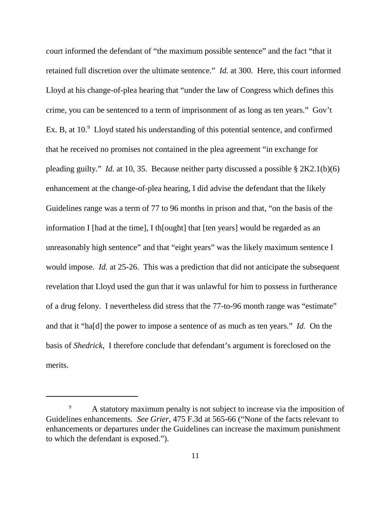court informed the defendant of "the maximum possible sentence" and the fact "that it retained full discretion over the ultimate sentence." *Id.* at 300. Here, this court informed Lloyd at his change-of-plea hearing that "under the law of Congress which defines this crime, you can be sentenced to a term of imprisonment of as long as ten years." Gov't Ex. B, at 10.<sup>9</sup> Lloyd stated his understanding of this potential sentence, and confirmed that he received no promises not contained in the plea agreement "in exchange for pleading guilty." *Id.* at 10, 35. Because neither party discussed a possible § 2K2.1(b)(6) enhancement at the change-of-plea hearing, I did advise the defendant that the likely Guidelines range was a term of 77 to 96 months in prison and that, "on the basis of the information I [had at the time], I th[ought] that [ten years] would be regarded as an unreasonably high sentence" and that "eight years" was the likely maximum sentence I would impose. *Id.* at 25-26. This was a prediction that did not anticipate the subsequent revelation that Lloyd used the gun that it was unlawful for him to possess in furtherance of a drug felony. I nevertheless did stress that the 77-to-96 month range was "estimate" and that it "ha[d] the power to impose a sentence of as much as ten years." *Id.* On the basis of *Shedrick*, I therefore conclude that defendant's argument is foreclosed on the merits.

<sup>&</sup>lt;sup>9</sup> A statutory maximum penalty is not subject to increase via the imposition of Guidelines enhancements. *See Grier*, 475 F.3d at 565-66 ("None of the facts relevant to enhancements or departures under the Guidelines can increase the maximum punishment to which the defendant is exposed.").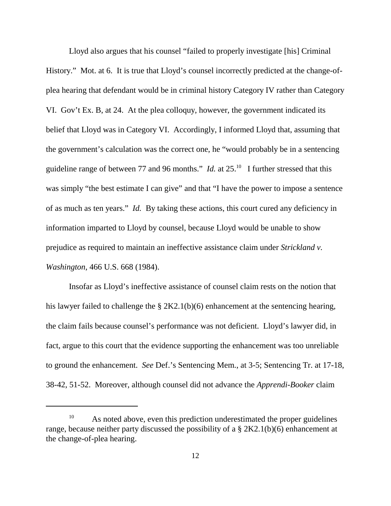Lloyd also argues that his counsel "failed to properly investigate [his] Criminal History." Mot. at 6. It is true that Lloyd's counsel incorrectly predicted at the change-ofplea hearing that defendant would be in criminal history Category IV rather than Category VI. Gov't Ex. B, at 24. At the plea colloquy, however, the government indicated its belief that Lloyd was in Category VI. Accordingly, I informed Lloyd that, assuming that the government's calculation was the correct one, he "would probably be in a sentencing guideline range of between 77 and 96 months." *Id.* at 25.<sup>10</sup> I further stressed that this was simply "the best estimate I can give" and that "I have the power to impose a sentence of as much as ten years." *Id.* By taking these actions, this court cured any deficiency in information imparted to Lloyd by counsel, because Lloyd would be unable to show prejudice as required to maintain an ineffective assistance claim under *Strickland v. Washington*, 466 U.S. 668 (1984).

Insofar as Lloyd's ineffective assistance of counsel claim rests on the notion that his lawyer failed to challenge the § 2K2.1(b)(6) enhancement at the sentencing hearing, the claim fails because counsel's performance was not deficient. Lloyd's lawyer did, in fact, argue to this court that the evidence supporting the enhancement was too unreliable to ground the enhancement. *See* Def.'s Sentencing Mem., at 3-5; Sentencing Tr. at 17-18, 38-42, 51-52. Moreover, although counsel did not advance the *Apprendi*-*Booker* claim

 $10$  As noted above, even this prediction underestimated the proper guidelines range, because neither party discussed the possibility of a § 2K2.1(b)(6) enhancement at the change-of-plea hearing.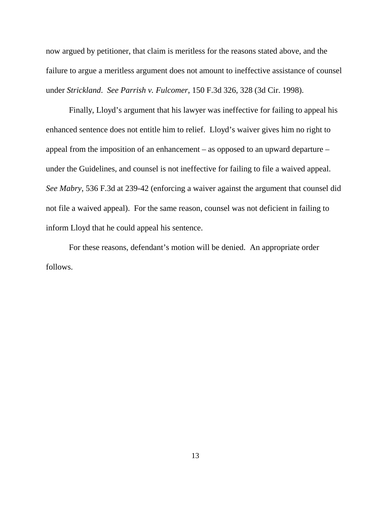now argued by petitioner, that claim is meritless for the reasons stated above, and the failure to argue a meritless argument does not amount to ineffective assistance of counsel under *Strickland*. *See Parrish v. Fulcomer*, 150 F.3d 326, 328 (3d Cir. 1998).

Finally, Lloyd's argument that his lawyer was ineffective for failing to appeal his enhanced sentence does not entitle him to relief. Lloyd's waiver gives him no right to appeal from the imposition of an enhancement – as opposed to an upward departure – under the Guidelines, and counsel is not ineffective for failing to file a waived appeal. *See Mabry*, 536 F.3d at 239-42 (enforcing a waiver against the argument that counsel did not file a waived appeal). For the same reason, counsel was not deficient in failing to inform Lloyd that he could appeal his sentence.

For these reasons, defendant's motion will be denied. An appropriate order follows.

13